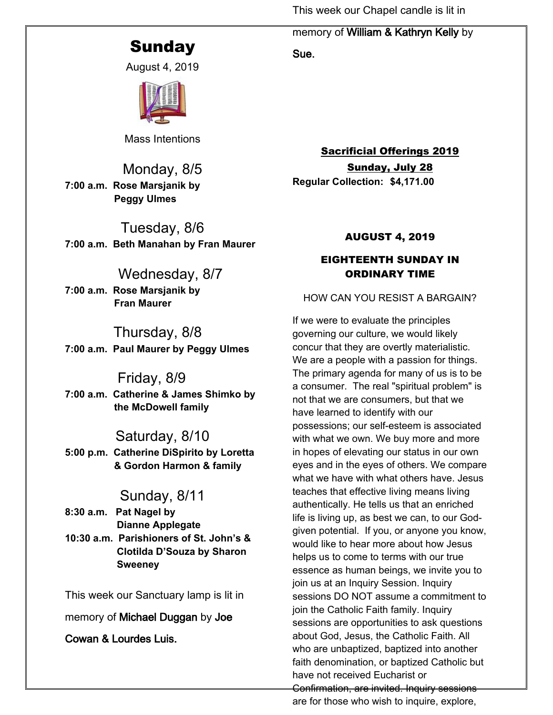This week our Chapel candle is lit in

# **Sunday**

August 4, 2019



Mass Intentions

Monday, 8/5 **7:00 a.m. Rose Marsjanik by Peggy Ulmes**

Tuesday, 8/6 **7:00 a.m. Beth Manahan by Fran Maurer**

# Wednesday, 8/7

**7:00 a.m. Rose Marsjanik by Fran Maurer**

# Thursday, 8/8

**7:00 a.m. Paul Maurer by Peggy Ulmes**

# Friday, 8/9

**7:00 a.m. Catherine & James Shimko by the McDowell family**

# Saturday, 8/10

**5:00 p.m. Catherine DiSpirito by Loretta & Gordon Harmon & family**

# Sunday, 8/11

**8:30 a.m. Pat Nagel by Dianne Applegate 10:30 a.m. Parishioners of St. John's & Clotilda D'Souza by Sharon**

 **Sweeney**

This week our Sanctuary lamp is lit in

memory of **Michael Duggan** by **Joe** 

**Cowan & Lourdes Luis.**

memory of **William & Kathryn Kelly** by

**Sue.** 

Sacrificial Offerings 2019 Sunday, July 28 **Regular Collection: \$4,171.00**

# AUGUST 4, 2019

# EIGHTEENTH SUNDAY IN ORDINARY TIME

# HOW CAN YOU RESIST A BARGAIN?

If we were to evaluate the principles governing our culture, we would likely concur that they are overtly materialistic. We are a people with a passion for things. The primary agenda for many of us is to be a consumer. The real "spiritual problem" is not that we are consumers, but that we have learned to identify with our possessions; our self-esteem is associated with what we own. We buy more and more in hopes of elevating our status in our own eyes and in the eyes of others. We compare what we have with what others have. Jesus teaches that effective living means living authentically. He tells us that an enriched life is living up, as best we can, to our Godgiven potential. If you, or anyone you know, would like to hear more about how Jesus helps us to come to terms with our true essence as human beings, we invite you to join us at an Inquiry Session. Inquiry sessions DO NOT assume a commitment to join the Catholic Faith family. Inquiry sessions are opportunities to ask questions about God, Jesus, the Catholic Faith. All who are unbaptized, baptized into another faith denomination, or baptized Catholic but have not received Eucharist or Confirmation, are invited. Inquiry sessions are for those who wish to inquire, explore,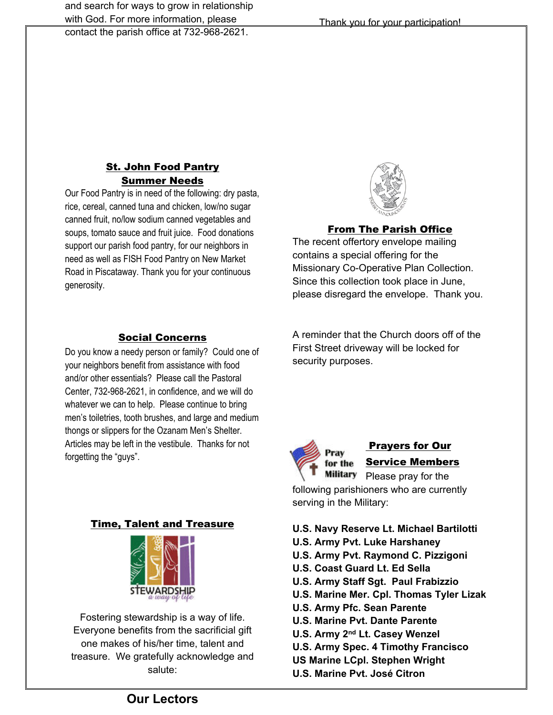contact the parish office at 732-968-2621.

### **St. John Food Pantry** Summer Needs

Our Food Pantry is in need of the following: dry pasta, rice, cereal, canned tuna and chicken, low/no sugar canned fruit, no/low sodium canned vegetables and soups, tomato sauce and fruit juice. Food donations support our parish food pantry, for our neighbors in need as well as FISH Food Pantry on New Market Road in Piscataway. Thank you for your continuous generosity.

## Social Concerns

Do you know a needy person or family? Could one of your neighbors benefit from assistance with food and/or other essentials? Please call the Pastoral Center, 732-968-2621, in confidence, and we will do whatever we can to help. Please continue to bring men's toiletries, tooth brushes, and large and medium thongs or slippers for the Ozanam Men's Shelter. Articles may be left in the vestibule. Thanks for not forgetting the "guys".

# Time, Talent and Treasure



Fostering stewardship is a way of life. Everyone benefits from the sacrificial gift one makes of his/her time, talent and treasure. We gratefully acknowledge and salute:



#### From The Parish Office

The recent offertory envelope mailing contains a special offering for the Missionary Co-Operative Plan Collection. Since this collection took place in June, please disregard the envelope. Thank you.

A reminder that the Church doors off of the First Street driveway will be locked for security purposes.



# Prayers for Our Service Members

Military Please pray for the following parishioners who are currently serving in the Military:

#### **U.S. Navy Reserve Lt. Michael Bartilotti**

- **U.S. Army Pvt. Luke Harshaney**
- **U.S. Army Pvt. Raymond C. Pizzigoni**
- **U.S. Coast Guard Lt. Ed Sella**
- **U.S. Army Staff Sgt. Paul Frabizzio**
- **U.S. Marine Mer. Cpl. Thomas Tyler Lizak**
- **U.S. Army Pfc. Sean Parente**
- **U.S. Marine Pvt. Dante Parente**
- **U.S. Army 2nd Lt. Casey Wenzel**
- **U.S. Army Spec. 4 Timothy Francisco**
- **US Marine LCpl. Stephen Wright**
- **U.S. Marine Pvt. José Citron**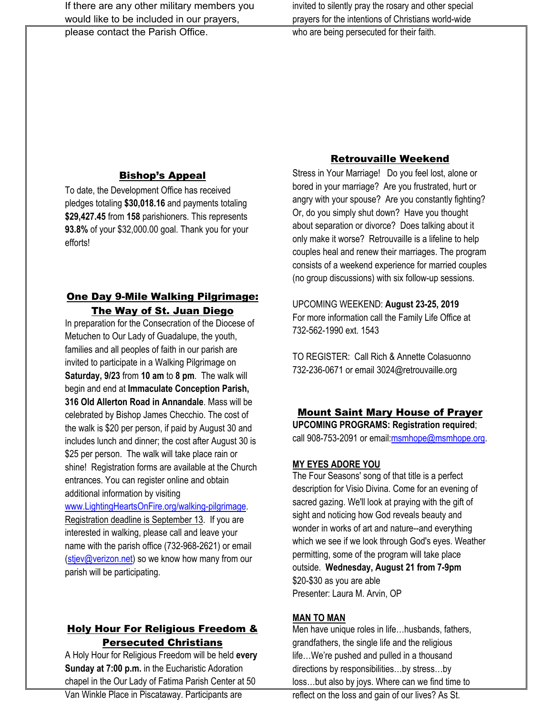If there are any other military members you would like to be included in our prayers,

please contact the Parish Office.

invited to silently pray the rosary and other special prayers for the intentions of Christians world-wide who are being persecuted for their faith.

### Bishop's Appeal

To date, the Development Office has received pledges totaling **\$30,018.16** and payments totaling **\$29,427.45** from **158** parishioners. This represents **93.8%** of your \$32,000.00 goal. Thank you for your efforts!

## One Day 9-Mile Walking Pilgrimage: The Way of St. Juan Diego

In preparation for the Consecration of the Diocese of Metuchen to Our Lady of Guadalupe, the youth, families and all peoples of faith in our parish are invited to participate in a Walking Pilgrimage on **Saturday, 9/23** from **10 am** to **8 pm**. The walk will begin and end at **Immaculate Conception Parish, 316 Old Allerton Road in Annandale**. Mass will be celebrated by Bishop James Checchio. The cost of the walk is \$20 per person, if paid by August 30 and includes lunch and dinner; the cost after August 30 is \$25 per person. The walk will take place rain or shine! Registration forms are available at the Church entrances. You can register online and obtain additional information by visiting

#### [www.LightingHeartsOnFire.org/walking-pilgrimage.](http://www.lightingheartsonfire.org/walking-pilgrimage)

Registration deadline is September 13. If you are interested in walking, please call and leave your name with the parish office (732-968-2621) or email [\(stjev@verizon.net\)](mailto:stjev@verizon.net) so we know how many from our parish will be participating.

# Holy Hour For Religious Freedom & Persecuted Christians

A Holy Hour for Religious Freedom will be held **every Sunday at 7:00 p.m.** in the Eucharistic Adoration chapel in the Our Lady of Fatima Parish Center at 50

## Retrouvaille Weekend

Stress in Your Marriage! Do you feel lost, alone or bored in your marriage? Are you frustrated, hurt or angry with your spouse? Are you constantly fighting? Or, do you simply shut down? Have you thought about separation or divorce? Does talking about it only make it worse? Retrouvaille is a lifeline to help couples heal and renew their marriages. The program consists of a weekend experience for married couples (no group discussions) with six follow-up sessions.

UPCOMING WEEKEND: **August 23-25, 2019** For more information call the Family Life Office at 732-562-1990 ext. 1543

TO REGISTER: Call Rich & Annette Colasuonno 732-236-0671 or email 3024@retrouvaille.org

#### Mount Saint Mary House of Prayer

**UPCOMING PROGRAMS: Registration required**; call 908-753-2091 or email: msmhope@msmhope.org.

#### **MY EYES ADORE YOU**

The Four Seasons' song of that title is a perfect description for Visio Divina. Come for an evening of sacred gazing. We'll look at praying with the gift of sight and noticing how God reveals beauty and wonder in works of art and nature--and everything which we see if we look through God's eyes. Weather permitting, some of the program will take place outside. **Wednesday, August 21 from 7-9pm** \$20-\$30 as you are able Presenter: Laura M. Arvin, OP

#### **MAN TO MAN**

Men have unique roles in life…husbands, fathers, grandfathers, the single life and the religious life…We're pushed and pulled in a thousand directions by responsibilities…by stress…by loss…but also by joys. Where can we find time to

reflect on the loss and gain of our lives? As St.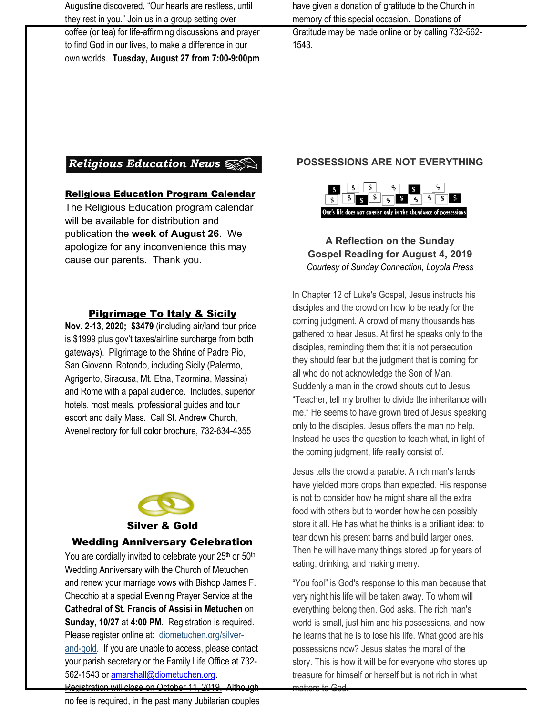Augustine discovered, "Our hearts are restless, until they rest in you." Join us in a group setting over

coffee (or tea) for life-affirming discussions and prayer to find God in our lives, to make a difference in our own worlds. **Tuesday, August 27 from 7:00-9:00pm** have given a donation of gratitude to the Church in memory of this special occasion. Donations of Gratitude may be made online or by calling 732-562- 1543.

# Religious Education News

#### Religious Education Program Calendar

The Religious Education program calendar will be available for distribution and publication the **week of August 26**. We apologize for any inconvenience this may cause our parents. Thank you.

#### Pilgrimage To Italy & Sicily

**Nov. 2-13, 2020; \$3479** (including air/land tour price is \$1999 plus gov't taxes/airline surcharge from both gateways). Pilgrimage to the Shrine of Padre Pio, San Giovanni Rotondo, including Sicily (Palermo, Agrigento, Siracusa, Mt. Etna, Taormina, Massina) and Rome with a papal audience. Includes, superior hotels, most meals, professional guides and tour escort and daily Mass. Call St. Andrew Church, Avenel rectory for full color brochure, 732-634-4355



#### Silver & Gold

#### Wedding Anniversary Celebration

You are cordially invited to celebrate your 25<sup>th</sup> or 50<sup>th</sup> Wedding Anniversary with the Church of Metuchen and renew your marriage vows with Bishop James F. Checchio at a special Evening Prayer Service at the **Cathedral of St. Francis of Assisi in Metuchen** on **Sunday, 10/27** at **4:00 PM**. Registration is required. Please register online at: diometuchen.org/silverand-gold. If you are unable to access, please contact your parish secretary or the Family Life Office at 732- 562-1543 or [amarshall@diometuchen.org.](mailto:amarshall@diometuchen.org) Registration will close on October 11, 2019. Although

no fee is required, in the past many Jubilarian couples

#### **POSSESSIONS ARE NOT EVERYTHING**



**A Reflection on the Sunday Gospel Reading for August 4, 2019** *Courtesy of Sunday Connection, Loyola Press*

In Chapter 12 of Luke's Gospel, Jesus instructs his disciples and the crowd on how to be ready for the coming judgment. A crowd of many thousands has gathered to hear Jesus. At first he speaks only to the disciples, reminding them that it is not persecution they should fear but the judgment that is coming for all who do not acknowledge the Son of Man. Suddenly a man in the crowd shouts out to Jesus, "Teacher, tell my brother to divide the inheritance with me." He seems to have grown tired of Jesus speaking only to the disciples. Jesus offers the man no help. Instead he uses the question to teach what, in light of the coming judgment, life really consist of.

Jesus tells the crowd a parable. A rich man's lands have yielded more crops than expected. His response is not to consider how he might share all the extra food with others but to wonder how he can possibly store it all. He has what he thinks is a brilliant idea: to tear down his present barns and build larger ones. Then he will have many things stored up for years of eating, drinking, and making merry.

"You fool" is God's response to this man because that very night his life will be taken away. To whom will everything belong then, God asks. The rich man's world is small, just him and his possessions, and now he learns that he is to lose his life. What good are his possessions now? Jesus states the moral of the story. This is how it will be for everyone who stores up treasure for himself or herself but is not rich in what matters to God